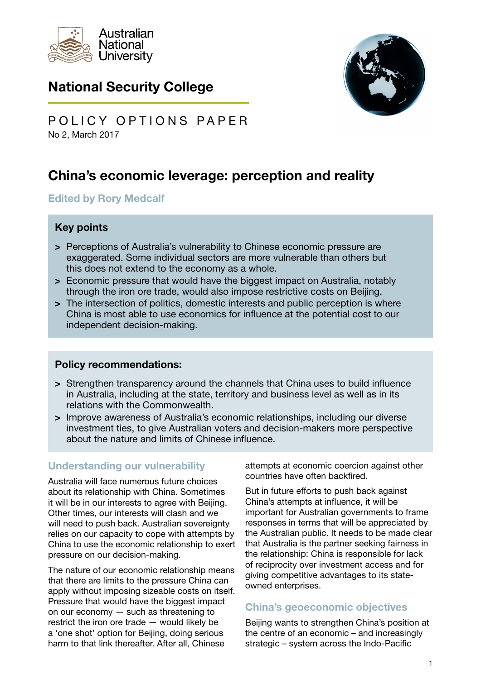

## National Security College



No 2, March 2017 POLICY OPTIONS PAPER

# China's economic leverage: perception and reality

#### Edited by Rory Medcalf

## Key points

- > Perceptions of Australia's vulnerability to Chinese economic pressure are exaggerated. Some individual sectors are more vulnerable than others but this does not extend to the economy as a whole.
- > Economic pressure that would have the biggest impact on Australia, notably through the iron ore trade, would also impose restrictive costs on Beijing.
- > The intersection of politics, domestic interests and public perception is where China is most able to use economics for influence at the potential cost to our independent decision-making.

## Policy recommendations:

- > Strengthen transparency around the channels that China uses to build influence in Australia, including at the state, territory and business level as well as in its relations with the Commonwealth.
- > Improve awareness of Australia's economic relationships, including our diverse investment ties, to give Australian voters and decision-makers more perspective about the nature and limits of Chinese influence.

## Understanding our vulnerability

Australia will face numerous future choices about its relationship with China. Sometimes it will be in our interests to agree with Beijing. Other times, our interests will clash and we will need to push back. Australian sovereignty relies on our capacity to cope with attempts by China to use the economic relationship to exert pressure on our decision-making.

The nature of our economic relationship means that there are limits to the pressure China can apply without imposing sizeable costs on itself. Pressure that would have the biggest impact on our economy — such as threatening to restrict the iron ore trade — would likely be a 'one shot' option for Beijing, doing serious harm to that link thereafter. After all, Chinese

attempts at economic coercion against other countries have often backfired.

But in future efforts to push back against China's attempts at influence, it will be important for Australian governments to frame responses in terms that will be appreciated by the Australian public. It needs to be made clear that Australia is the partner seeking fairness in the relationship: China is responsible for lack of reciprocity over investment access and for giving competitive advantages to its stateowned enterprises.

## China's geoeconomic objectives

Beijing wants to strengthen China's position at the centre of an economic – and increasingly strategic – system across the Indo-Pacific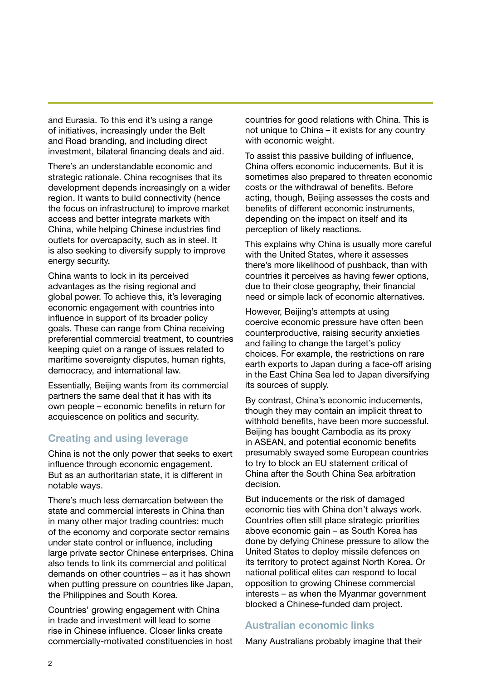and Eurasia. To this end it's using a range of initiatives, increasingly under the Belt and Road branding, and including direct investment, bilateral financing deals and aid.

There's an understandable economic and strategic rationale. China recognises that its development depends increasingly on a wider region. It wants to build connectivity (hence the focus on infrastructure) to improve market access and better integrate markets with China, while helping Chinese industries find outlets for overcapacity, such as in steel. It is also seeking to diversify supply to improve energy security.

China wants to lock in its perceived advantages as the rising regional and global power. To achieve this, it's leveraging economic engagement with countries into influence in support of its broader policy goals. These can range from China receiving preferential commercial treatment, to countries keeping quiet on a range of issues related to maritime sovereignty disputes, human rights, democracy, and international law.

Essentially, Beijing wants from its commercial partners the same deal that it has with its own people – economic benefits in return for acquiescence on politics and security.

## Creating and using leverage

China is not the only power that seeks to exert influence through economic engagement. But as an authoritarian state, it is different in notable ways.

There's much less demarcation between the state and commercial interests in China than in many other major trading countries: much of the economy and corporate sector remains under state control or influence, including large private sector Chinese enterprises. China also tends to link its commercial and political demands on other countries – as it has shown when putting pressure on countries like Japan, the Philippines and South Korea.

Countries' growing engagement with China in trade and investment will lead to some rise in Chinese influence. Closer links create commercially-motivated constituencies in host countries for good relations with China. This is not unique to China – it exists for any country with economic weight.

To assist this passive building of influence, China offers economic inducements. But it is sometimes also prepared to threaten economic costs or the withdrawal of benefits. Before acting, though, Beijing assesses the costs and benefits of different economic instruments, depending on the impact on itself and its perception of likely reactions.

This explains why China is usually more careful with the United States, where it assesses there's more likelihood of pushback, than with countries it perceives as having fewer options, due to their close geography, their financial need or simple lack of economic alternatives.

However, Beijing's attempts at using coercive economic pressure have often been counterproductive, raising security anxieties and failing to change the target's policy choices. For example, the restrictions on rare earth exports to Japan during a face-off arising in the East China Sea led to Japan diversifying its sources of supply.

By contrast, China's economic inducements, though they may contain an implicit threat to withhold benefits, have been more successful. Beijing has bought Cambodia as its proxy in ASEAN, and potential economic benefits presumably swayed some European countries to try to block an EU statement critical of China after the South China Sea arbitration decision.

But inducements or the risk of damaged economic ties with China don't always work. Countries often still place strategic priorities above economic gain – as South Korea has done by defying Chinese pressure to allow the United States to deploy missile defences on its territory to protect against North Korea. Or national political elites can respond to local opposition to growing Chinese commercial interests – as when the Myanmar government blocked a Chinese-funded dam project.

#### Australian economic links

Many Australians probably imagine that their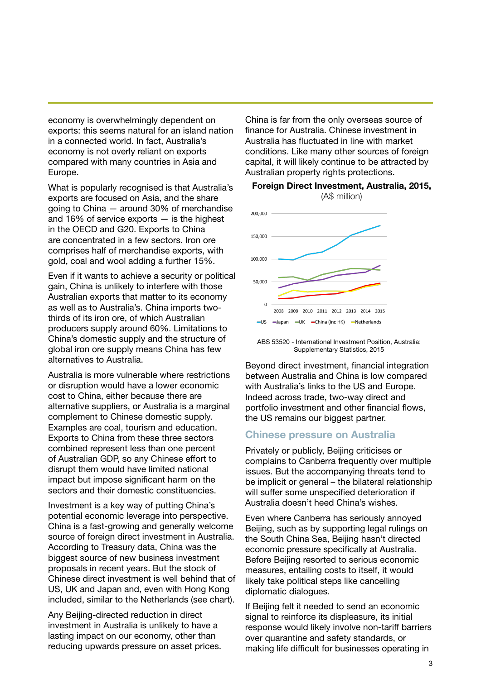economy is overwhelmingly dependent on exports: this seems natural for an island nation in a connected world. In fact, Australia's economy is not overly reliant on exports compared with many countries in Asia and Europe.

What is popularly recognised is that Australia's exports are focused on Asia, and the share going to China — around 30% of merchandise and 16% of service exports — is the highest in the OECD and G20. Exports to China are concentrated in a few sectors. Iron ore comprises half of merchandise exports, with gold, coal and wool adding a further 15%.

Even if it wants to achieve a security or political gain, China is unlikely to interfere with those Australian exports that matter to its economy as well as to Australia's. China imports twothirds of its iron ore, of which Australian producers supply around 60%. Limitations to China's domestic supply and the structure of global iron ore supply means China has few alternatives to Australia.

Australia is more vulnerable where restrictions or disruption would have a lower economic cost to China, either because there are alternative suppliers, or Australia is a marginal complement to Chinese domestic supply. Examples are coal, tourism and education. Exports to China from these three sectors combined represent less than one percent of Australian GDP, so any Chinese effort to disrupt them would have limited national impact but impose significant harm on the sectors and their domestic constituencies.

Investment is a key way of putting China's potential economic leverage into perspective. China is a fast-growing and generally welcome source of foreign direct investment in Australia. According to Treasury data, China was the biggest source of new business investment proposals in recent years. But the stock of Chinese direct investment is well behind that of US, UK and Japan and, even with Hong Kong included, similar to the Netherlands (see chart).

Any Beijing-directed reduction in direct investment in Australia is unlikely to have a lasting impact on our economy, other than reducing upwards pressure on asset prices. China is far from the only overseas source of finance for Australia. Chinese investment in Australia has fluctuated in line with market conditions. Like many other sources of foreign capital, it will likely continue to be attracted by Australian property rights protections.



#### Foreign Direct Investment, Australia, 2015, (A\$ million)

ABS 53520 - International Investment Position, Australia: Supplementary Statistics, 2015

Beyond direct investment, financial integration between Australia and China is low compared with Australia's links to the US and Europe. Indeed across trade, two-way direct and portfolio investment and other financial flows, the US remains our biggest partner.

#### Chinese pressure on Australia

Privately or publicly, Beijing criticises or complains to Canberra frequently over multiple issues. But the accompanying threats tend to be implicit or general – the bilateral relationship will suffer some unspecified deterioration if Australia doesn't heed China's wishes.

Even where Canberra has seriously annoyed Beijing, such as by supporting legal rulings on the South China Sea, Beijing hasn't directed economic pressure specifically at Australia. Before Beijing resorted to serious economic measures, entailing costs to itself, it would likely take political steps like cancelling diplomatic dialogues.

If Beijing felt it needed to send an economic signal to reinforce its displeasure, its initial response would likely involve non-tariff barriers over quarantine and safety standards, or making life difficult for businesses operating in